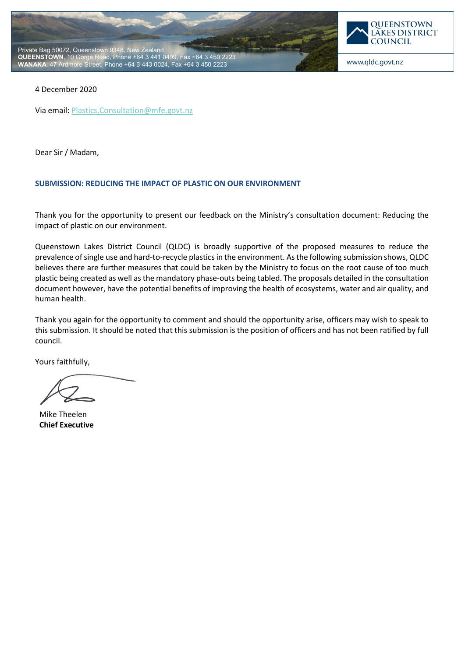



#### 4 December 2020

Via email[: Plastics.Consultation@mfe.govt.nz](mailto:Plastics.Consultation@mfe.govt.nz)

Dear Sir / Madam,

#### **SUBMISSION: REDUCING THE IMPACT OF PLASTIC ON OUR ENVIRONMENT**

Thank you for the opportunity to present our feedback on the Ministry's consultation document: Reducing the impact of plastic on our environment.

Queenstown Lakes District Council (QLDC) is broadly supportive of the proposed measures to reduce the prevalence of single use and hard-to-recycle plastics in the environment. As the following submission shows, QLDC believes there are further measures that could be taken by the Ministry to focus on the root cause of too much plastic being created as well as the mandatory phase-outs being tabled. The proposals detailed in the consultation document however, have the potential benefits of improving the health of ecosystems, water and air quality, and human health.

Thank you again for the opportunity to comment and should the opportunity arise, officers may wish to speak to this submission. It should be noted that this submission is the position of officers and has not been ratified by full council.

Yours faithfully,

Mike Theelen **Chief Executive**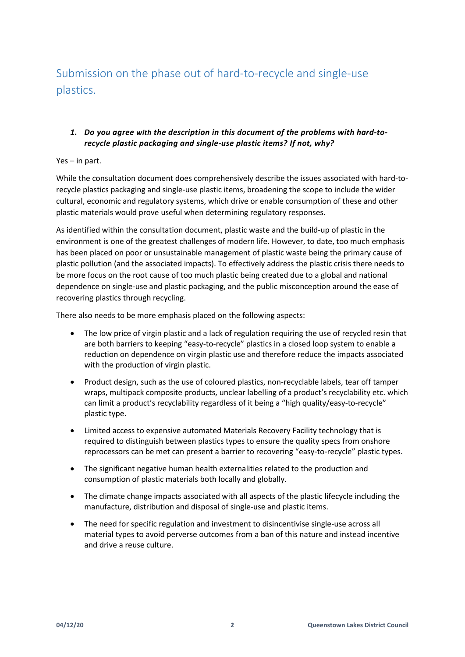Submission on the phase out of hard-to-recycle and single-use plastics.

### *1. Do you agree with the description in this document of the problems with hard-torecycle plastic packaging and single-use plastic items? If not, why?*

#### Yes – in part.

While the consultation document does comprehensively describe the issues associated with hard-torecycle plastics packaging and single-use plastic items, broadening the scope to include the wider cultural, economic and regulatory systems, which drive or enable consumption of these and other plastic materials would prove useful when determining regulatory responses.

As identified within the consultation document, plastic waste and the build-up of plastic in the environment is one of the greatest challenges of modern life. However, to date, too much emphasis has been placed on poor or unsustainable management of plastic waste being the primary cause of plastic pollution (and the associated impacts). To effectively address the plastic crisis there needs to be more focus on the root cause of too much plastic being created due to a global and national dependence on single-use and plastic packaging, and the public misconception around the ease of recovering plastics through recycling.

There also needs to be more emphasis placed on the following aspects:

- The low price of virgin plastic and a lack of regulation requiring the use of recycled resin that are both barriers to keeping "easy-to-recycle" plastics in a closed loop system to enable a reduction on dependence on virgin plastic use and therefore reduce the impacts associated with the production of virgin plastic.
- Product design, such as the use of coloured plastics, non-recyclable labels, tear off tamper wraps, multipack composite products, unclear labelling of a product's recyclability etc. which can limit a product's recyclability regardless of it being a "high quality/easy-to-recycle" plastic type.
- Limited access to expensive automated Materials Recovery Facility technology that is required to distinguish between plastics types to ensure the quality specs from onshore reprocessors can be met can present a barrier to recovering "easy-to-recycle" plastic types.
- The significant negative human health externalities related to the production and consumption of plastic materials both locally and globally.
- The climate change impacts associated with all aspects of the plastic lifecycle including the manufacture, distribution and disposal of single-use and plastic items.
- The need for specific regulation and investment to disincentivise single-use across all material types to avoid perverse outcomes from a ban of this nature and instead incentive and drive a reuse culture.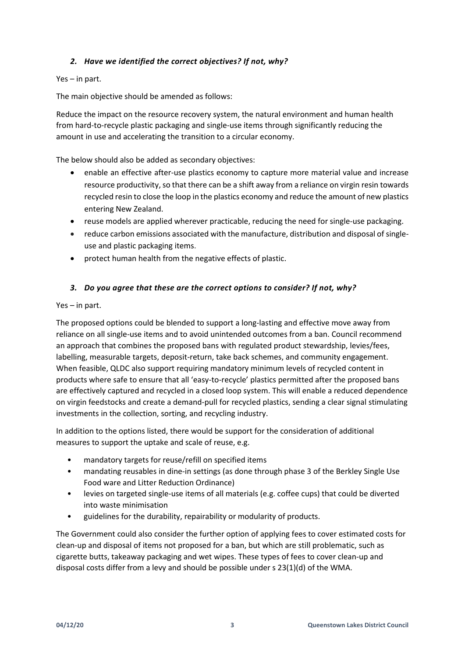### *2. Have we identified the correct objectives? If not, why?*

#### Yes – in part.

The main objective should be amended as follows:

Reduce the impact on the resource recovery system, the natural environment and human health from hard-to-recycle plastic packaging and single-use items through significantly reducing the amount in use and accelerating the transition to a circular economy.

The below should also be added as secondary objectives:

- enable an effective after-use plastics economy to capture more material value and increase resource productivity, so that there can be a shift away from a reliance on virgin resin towards recycled resin to close the loop in the plastics economy and reduce the amount of new plastics entering New Zealand.
- reuse models are applied wherever practicable, reducing the need for single-use packaging.
- reduce carbon emissions associated with the manufacture, distribution and disposal of singleuse and plastic packaging items.
- protect human health from the negative effects of plastic.

#### *3. Do you agree that these are the correct options to consider? If not, why?*

#### Yes – in part.

The proposed options could be blended to support a long-lasting and effective move away from reliance on all single-use items and to avoid unintended outcomes from a ban. Council recommend an approach that combines the proposed bans with regulated product stewardship, levies/fees, labelling, measurable targets, deposit-return, take back schemes, and community engagement. When feasible, QLDC also support requiring mandatory minimum levels of recycled content in products where safe to ensure that all 'easy-to-recycle' plastics permitted after the proposed bans are effectively captured and recycled in a closed loop system. This will enable a reduced dependence on virgin feedstocks and create a demand-pull for recycled plastics, sending a clear signal stimulating investments in the collection, sorting, and recycling industry.

In addition to the options listed, there would be support for the consideration of additional measures to support the uptake and scale of reuse, e.g.

- mandatory targets for reuse/refill on specified items
- mandating reusables in dine-in settings (as done through phase 3 of the Berkley Single Use Food ware and Litter Reduction Ordinance)
- levies on targeted single-use items of all materials (e.g. coffee cups) that could be diverted into waste minimisation
- guidelines for the durability, repairability or modularity of products.

The Government could also consider the further option of applying fees to cover estimated costs for clean-up and disposal of items not proposed for a ban, but which are still problematic, such as cigarette butts, takeaway packaging and wet wipes. These types of fees to cover clean-up and disposal costs differ from a levy and should be possible under s 23(1)(d) of the WMA.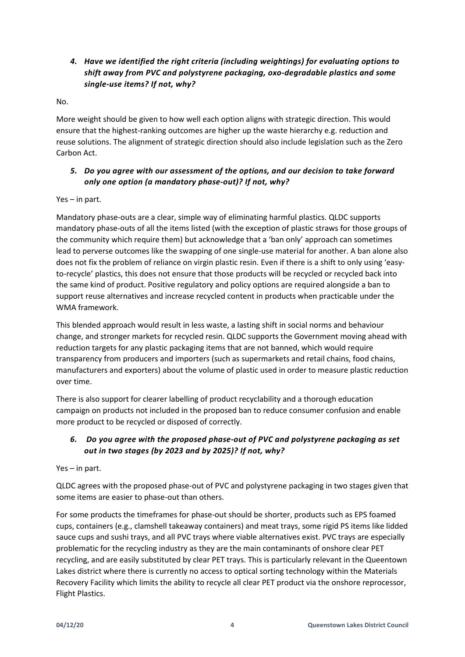# *4. Have we identified the right criteria (including weightings) for evaluating options to shift away from PVC and polystyrene packaging, oxo-degradable plastics and some single-use items? If not, why?*

No.

More weight should be given to how well each option aligns with strategic direction. This would ensure that the highest-ranking outcomes are higher up the waste hierarchy e.g. reduction and reuse solutions. The alignment of strategic direction should also include legislation such as the Zero Carbon Act.

## *5. Do you agree with our assessment of the options, and our decision to take forward only one option (a mandatory phase-out)? If not, why?*

#### Yes – in part.

Mandatory phase-outs are a clear, simple way of eliminating harmful plastics. QLDC supports mandatory phase-outs of all the items listed (with the exception of plastic straws for those groups of the community which require them) but acknowledge that a 'ban only' approach can sometimes lead to perverse outcomes like the swapping of one single-use material for another. A ban alone also does not fix the problem of reliance on virgin plastic resin. Even if there is a shift to only using 'easyto-recycle' plastics, this does not ensure that those products will be recycled or recycled back into the same kind of product. Positive regulatory and policy options are required alongside a ban to support reuse alternatives and increase recycled content in products when practicable under the WMA framework.

This blended approach would result in less waste, a lasting shift in social norms and behaviour change, and stronger markets for recycled resin. QLDC supports the Government moving ahead with reduction targets for any plastic packaging items that are not banned, which would require transparency from producers and importers (such as supermarkets and retail chains, food chains, manufacturers and exporters) about the volume of plastic used in order to measure plastic reduction over time.

There is also support for clearer labelling of product recyclability and a thorough education campaign on products not included in the proposed ban to reduce consumer confusion and enable more product to be recycled or disposed of correctly.

## *6. Do you agree with the proposed phase-out of PVC and polystyrene packaging as set out in two stages (by 2023 and by 2025)? If not, why?*

Yes – in part.

QLDC agrees with the proposed phase-out of PVC and polystyrene packaging in two stages given that some items are easier to phase-out than others.

For some products the timeframes for phase-out should be shorter, products such as EPS foamed cups, containers (e.g., clamshell takeaway containers) and meat trays, some rigid PS items like lidded sauce cups and sushi trays, and all PVC trays where viable alternatives exist. PVC trays are especially problematic for the recycling industry as they are the main contaminants of onshore clear PET recycling, and are easily substituted by clear PET trays. This is particularly relevant in the Queentown Lakes district where there is currently no access to optical sorting technology within the Materials Recovery Facility which limits the ability to recycle all clear PET product via the onshore reprocessor, Flight Plastics.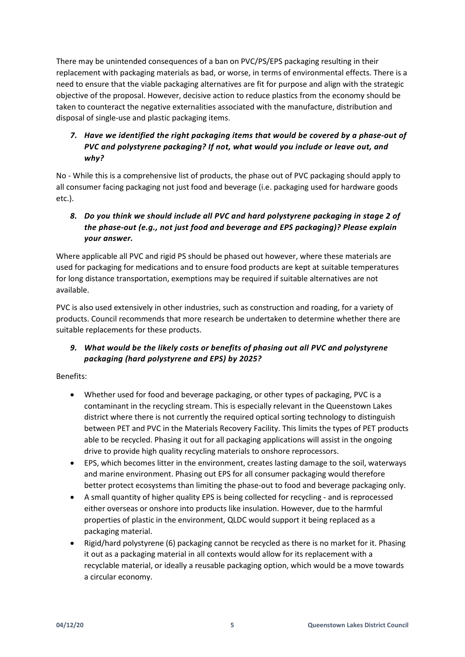There may be unintended consequences of a ban on PVC/PS/EPS packaging resulting in their replacement with packaging materials as bad, or worse, in terms of environmental effects. There is a need to ensure that the viable packaging alternatives are fit for purpose and align with the strategic objective of the proposal. However, decisive action to reduce plastics from the economy should be taken to counteract the negative externalities associated with the manufacture, distribution and disposal of single-use and plastic packaging items.

## *7. Have we identified the right packaging items that would be covered by a phase-out of PVC and polystyrene packaging? If not, what would you include or leave out, and why?*

No - While this is a comprehensive list of products, the phase out of PVC packaging should apply to all consumer facing packaging not just food and beverage (i.e. packaging used for hardware goods etc.).

# *8. Do you think we should include all PVC and hard polystyrene packaging in stage 2 of the phase-out (e.g., not just food and beverage and EPS packaging)? Please explain your answer.*

Where applicable all PVC and rigid PS should be phased out however, where these materials are used for packaging for medications and to ensure food products are kept at suitable temperatures for long distance transportation, exemptions may be required if suitable alternatives are not available.

PVC is also used extensively in other industries, such as construction and roading, for a variety of products. Council recommends that more research be undertaken to determine whether there are suitable replacements for these products.

# *9. What would be the likely costs or benefits of phasing out all PVC and polystyrene packaging (hard polystyrene and EPS) by 2025?*

#### Benefits:

- Whether used for food and beverage packaging, or other types of packaging, PVC is a contaminant in the recycling stream. This is especially relevant in the Queenstown Lakes district where there is not currently the required optical sorting technology to distinguish between PET and PVC in the Materials Recovery Facility. This limits the types of PET products able to be recycled. Phasing it out for all packaging applications will assist in the ongoing drive to provide high quality recycling materials to onshore reprocessors.
- EPS, which becomes litter in the environment, creates lasting damage to the soil, waterways and marine environment. Phasing out EPS for all consumer packaging would therefore better protect ecosystems than limiting the phase-out to food and beverage packaging only.
- A small quantity of higher quality EPS is being collected for recycling and is reprocessed either overseas or onshore into products like insulation. However, due to the harmful properties of plastic in the environment, QLDC would support it being replaced as a packaging material.
- Rigid/hard polystyrene (6) packaging cannot be recycled as there is no market for it. Phasing it out as a packaging material in all contexts would allow for its replacement with a recyclable material, or ideally a reusable packaging option, which would be a move towards a circular economy.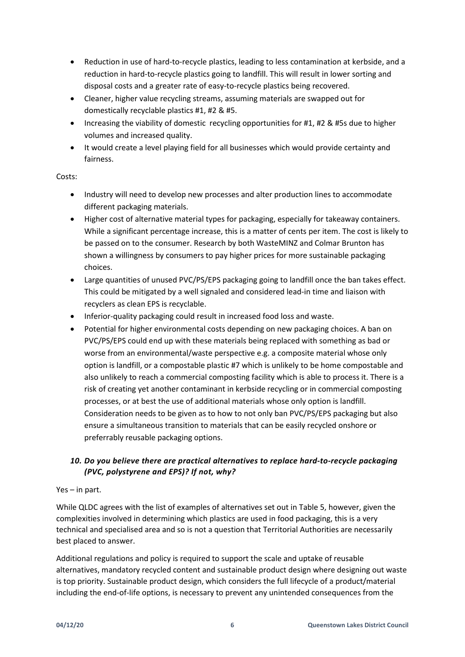- Reduction in use of hard-to-recycle plastics, leading to less contamination at kerbside, and a reduction in hard-to-recycle plastics going to landfill. This will result in lower sorting and disposal costs and a greater rate of easy-to-recycle plastics being recovered.
- Cleaner, higher value recycling streams, assuming materials are swapped out for domestically recyclable plastics #1, #2 & #5.
- Increasing the viability of domestic recycling opportunities for #1, #2 & #5s due to higher volumes and increased quality.
- It would create a level playing field for all businesses which would provide certainty and fairness.

#### Costs:

- Industry will need to develop new processes and alter production lines to accommodate different packaging materials.
- Higher cost of alternative material types for packaging, especially for takeaway containers. While a significant percentage increase, this is a matter of cents per item. The cost is likely to be passed on to the consumer. Research by both WasteMINZ and Colmar Brunton has shown a willingness by consumers to pay higher prices for more sustainable packaging choices.
- Large quantities of unused PVC/PS/EPS packaging going to landfill once the ban takes effect. This could be mitigated by a well signaled and considered lead-in time and liaison with recyclers as clean EPS is recyclable.
- Inferior-quality packaging could result in increased food loss and waste.
- Potential for higher environmental costs depending on new packaging choices. A ban on PVC/PS/EPS could end up with these materials being replaced with something as bad or worse from an environmental/waste perspective e.g. a composite material whose only option is landfill, or a compostable plastic #7 which is unlikely to be home compostable and also unlikely to reach a commercial composting facility which is able to process it. There is a risk of creating yet another contaminant in kerbside recycling or in commercial composting processes, or at best the use of additional materials whose only option is landfill. Consideration needs to be given as to how to not only ban PVC/PS/EPS packaging but also ensure a simultaneous transition to materials that can be easily recycled onshore or preferrably reusable packaging options.

## *10. Do you believe there are practical alternatives to replace hard-to-recycle packaging (PVC, polystyrene and EPS)? If not, why?*

#### Yes – in part.

While QLDC agrees with the list of examples of alternatives set out in Table 5, however, given the complexities involved in determining which plastics are used in food packaging, this is a very technical and specialised area and so is not a question that Territorial Authorities are necessarily best placed to answer.

Additional regulations and policy is required to support the scale and uptake of reusable alternatives, mandatory recycled content and sustainable product design where designing out waste is top priority. Sustainable product design, which considers the full lifecycle of a product/material including the end-of-life options, is necessary to prevent any unintended consequences from the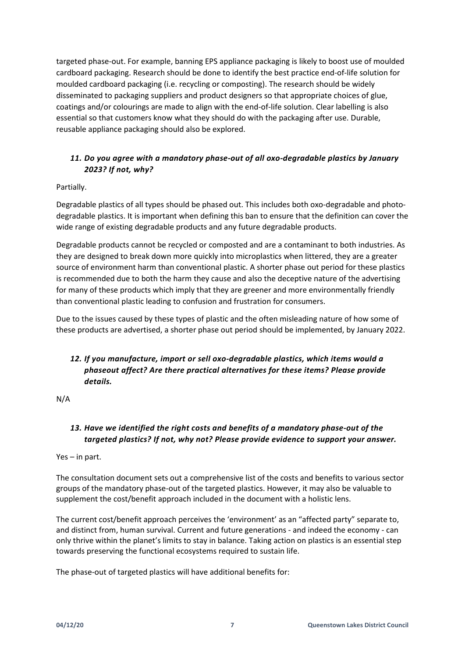targeted phase-out. For example, banning EPS appliance packaging is likely to boost use of moulded cardboard packaging. Research should be done to identify the best practice end-of-life solution for moulded cardboard packaging (i.e. recycling or composting). The research should be widely disseminated to packaging suppliers and product designers so that appropriate choices of glue, coatings and/or colourings are made to align with the end-of-life solution. Clear labelling is also essential so that customers know what they should do with the packaging after use. Durable, reusable appliance packaging should also be explored.

## *11. Do you agree with a mandatory phase-out of all oxo-degradable plastics by January 2023? If not, why?*

### Partially.

Degradable plastics of all types should be phased out. This includes both oxo-degradable and photodegradable plastics. It is important when defining this ban to ensure that the definition can cover the wide range of existing degradable products and any future degradable products.

Degradable products cannot be recycled or composted and are a contaminant to both industries. As they are designed to break down more quickly into microplastics when littered, they are a greater source of environment harm than conventional plastic. A shorter phase out period for these plastics is recommended due to both the harm they cause and also the deceptive nature of the advertising for many of these products which imply that they are greener and more environmentally friendly than conventional plastic leading to confusion and frustration for consumers.

Due to the issues caused by these types of plastic and the often misleading nature of how some of these products are advertised, a shorter phase out period should be implemented, by January 2022.

# *12. If you manufacture, import or sell oxo-degradable plastics, which items would a phaseout affect? Are there practical alternatives for these items? Please provide details.*

N/A

# *13. Have we identified the right costs and benefits of a mandatory phase-out of the targeted plastics? If not, why not? Please provide evidence to support your answer.*

Yes – in part.

The consultation document sets out a comprehensive list of the costs and benefits to various sector groups of the mandatory phase-out of the targeted plastics. However, it may also be valuable to supplement the cost/benefit approach included in the document with a holistic lens.

The current cost/benefit approach perceives the 'environment' as an "affected party" separate to, and distinct from, human survival. Current and future generations - and indeed the economy - can only thrive within the planet's limits to stay in balance. Taking action on plastics is an essential step towards preserving the functional ecosystems required to sustain life.

The phase-out of targeted plastics will have additional benefits for: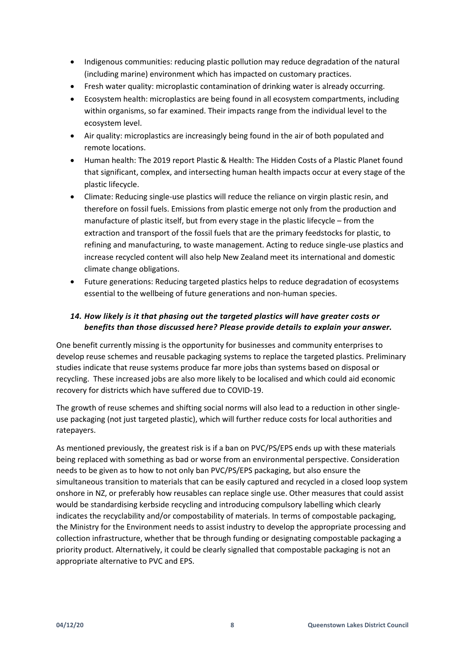- Indigenous communities: reducing plastic pollution may reduce degradation of the natural (including marine) environment which has impacted on customary practices.
- Fresh water quality: microplastic contamination of drinking water is already occurring.
- Ecosystem health: microplastics are being found in all ecosystem compartments, including within organisms, so far examined. Their impacts range from the individual level to the ecosystem level.
- Air quality: microplastics are increasingly being found in the air of both populated and remote locations.
- Human health: The 2019 report Plastic & Health: The Hidden Costs of a Plastic Planet found that significant, complex, and intersecting human health impacts occur at every stage of the plastic lifecycle.
- Climate: Reducing single-use plastics will reduce the reliance on virgin plastic resin, and therefore on fossil fuels. Emissions from plastic emerge not only from the production and manufacture of plastic itself, but from every stage in the plastic lifecycle – from the extraction and transport of the fossil fuels that are the primary feedstocks for plastic, to refining and manufacturing, to waste management. Acting to reduce single-use plastics and increase recycled content will also help New Zealand meet its international and domestic climate change obligations.
- Future generations: Reducing targeted plastics helps to reduce degradation of ecosystems essential to the wellbeing of future generations and non-human species.

## *14. How likely is it that phasing out the targeted plastics will have greater costs or benefits than those discussed here? Please provide details to explain your answer.*

One benefit currently missing is the opportunity for businesses and community enterprises to develop reuse schemes and reusable packaging systems to replace the targeted plastics. Preliminary studies indicate that reuse systems produce far more jobs than systems based on disposal or recycling. These increased jobs are also more likely to be localised and which could aid economic recovery for districts which have suffered due to COVID-19.

The growth of reuse schemes and shifting social norms will also lead to a reduction in other singleuse packaging (not just targeted plastic), which will further reduce costs for local authorities and ratepayers.

As mentioned previously, the greatest risk is if a ban on PVC/PS/EPS ends up with these materials being replaced with something as bad or worse from an environmental perspective. Consideration needs to be given as to how to not only ban PVC/PS/EPS packaging, but also ensure the simultaneous transition to materials that can be easily captured and recycled in a closed loop system onshore in NZ, or preferably how reusables can replace single use. Other measures that could assist would be standardising kerbside recycling and introducing compulsory labelling which clearly indicates the recyclability and/or compostability of materials. In terms of compostable packaging, the Ministry for the Environment needs to assist industry to develop the appropriate processing and collection infrastructure, whether that be through funding or designating compostable packaging a priority product. Alternatively, it could be clearly signalled that compostable packaging is not an appropriate alternative to PVC and EPS.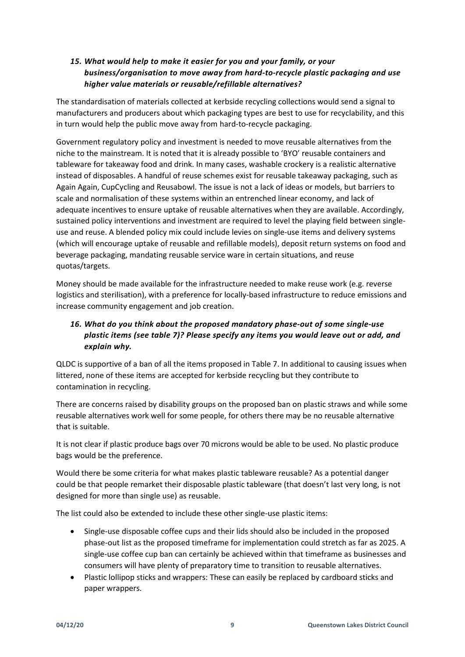## *15. What would help to make it easier for you and your family, or your business/organisation to move away from hard-to-recycle plastic packaging and use higher value materials or reusable/refillable alternatives?*

The standardisation of materials collected at kerbside recycling collections would send a signal to manufacturers and producers about which packaging types are best to use for recyclability, and this in turn would help the public move away from hard-to-recycle packaging.

Government regulatory policy and investment is needed to move reusable alternatives from the niche to the mainstream. It is noted that it is already possible to 'BYO' reusable containers and tableware for takeaway food and drink. In many cases, washable crockery is a realistic alternative instead of disposables. A handful of reuse schemes exist for reusable takeaway packaging, such as Again Again, CupCycling and Reusabowl. The issue is not a lack of ideas or models, but barriers to scale and normalisation of these systems within an entrenched linear economy, and lack of adequate incentives to ensure uptake of reusable alternatives when they are available. Accordingly, sustained policy interventions and investment are required to level the playing field between singleuse and reuse. A blended policy mix could include levies on single-use items and delivery systems (which will encourage uptake of reusable and refillable models), deposit return systems on food and beverage packaging, mandating reusable service ware in certain situations, and reuse quotas/targets.

Money should be made available for the infrastructure needed to make reuse work (e.g. reverse logistics and sterilisation), with a preference for locally-based infrastructure to reduce emissions and increase community engagement and job creation.

# *16. What do you think about the proposed mandatory phase-out of some single-use plastic items (see table 7)? Please specify any items you would leave out or add, and explain why.*

QLDC is supportive of a ban of all the items proposed in Table 7. In additional to causing issues when littered, none of these items are accepted for kerbside recycling but they contribute to contamination in recycling.

There are concerns raised by disability groups on the proposed ban on plastic straws and while some reusable alternatives work well for some people, for others there may be no reusable alternative that is suitable.

It is not clear if plastic produce bags over 70 microns would be able to be used. No plastic produce bags would be the preference.

Would there be some criteria for what makes plastic tableware reusable? As a potential danger could be that people remarket their disposable plastic tableware (that doesn't last very long, is not designed for more than single use) as reusable.

The list could also be extended to include these other single-use plastic items:

- Single-use disposable coffee cups and their lids should also be included in the proposed phase-out list as the proposed timeframe for implementation could stretch as far as 2025. A single-use coffee cup ban can certainly be achieved within that timeframe as businesses and consumers will have plenty of preparatory time to transition to reusable alternatives.
- Plastic lollipop sticks and wrappers: These can easily be replaced by cardboard sticks and paper wrappers.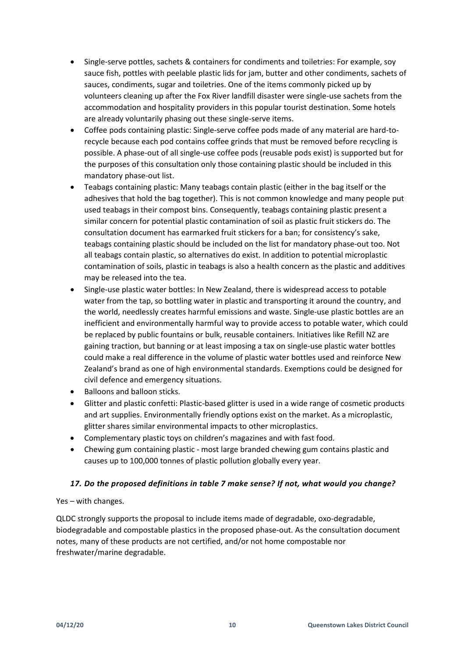- Single-serve pottles, sachets & containers for condiments and toiletries: For example, soy sauce fish, pottles with peelable plastic lids for jam, butter and other condiments, sachets of sauces, condiments, sugar and toiletries. One of the items commonly picked up by volunteers cleaning up after the Fox River landfill disaster were single-use sachets from the accommodation and hospitality providers in this popular tourist destination. Some hotels are already voluntarily phasing out these single-serve items.
- Coffee pods containing plastic: Single-serve coffee pods made of any material are hard-torecycle because each pod contains coffee grinds that must be removed before recycling is possible. A phase-out of all single-use coffee pods (reusable pods exist) is supported but for the purposes of this consultation only those containing plastic should be included in this mandatory phase-out list.
- Teabags containing plastic: Many teabags contain plastic (either in the bag itself or the adhesives that hold the bag together). This is not common knowledge and many people put used teabags in their compost bins. Consequently, teabags containing plastic present a similar concern for potential plastic contamination of soil as plastic fruit stickers do. The consultation document has earmarked fruit stickers for a ban; for consistency's sake, teabags containing plastic should be included on the list for mandatory phase-out too. Not all teabags contain plastic, so alternatives do exist. In addition to potential microplastic contamination of soils, plastic in teabags is also a health concern as the plastic and additives may be released into the tea.
- Single-use plastic water bottles: In New Zealand, there is widespread access to potable water from the tap, so bottling water in plastic and transporting it around the country, and the world, needlessly creates harmful emissions and waste. Single-use plastic bottles are an inefficient and environmentally harmful way to provide access to potable water, which could be replaced by public fountains or bulk, reusable containers. Initiatives like Refill NZ are gaining traction, but banning or at least imposing a tax on single-use plastic water bottles could make a real difference in the volume of plastic water bottles used and reinforce New Zealand's brand as one of high environmental standards. Exemptions could be designed for civil defence and emergency situations.
- Balloons and balloon sticks.
- Glitter and plastic confetti: Plastic-based glitter is used in a wide range of cosmetic products and art supplies. Environmentally friendly options exist on the market. As a microplastic, glitter shares similar environmental impacts to other microplastics.
- Complementary plastic toys on children's magazines and with fast food.
- Chewing gum containing plastic most large branded chewing gum contains plastic and causes up to 100,000 tonnes of plastic pollution globally every year.

#### *17. Do the proposed definitions in table 7 make sense? If not, what would you change?*

#### Yes – with changes.

QLDC strongly supports the proposal to include items made of degradable, oxo-degradable, biodegradable and compostable plastics in the proposed phase-out. As the consultation document notes, many of these products are not certified, and/or not home compostable nor freshwater/marine degradable.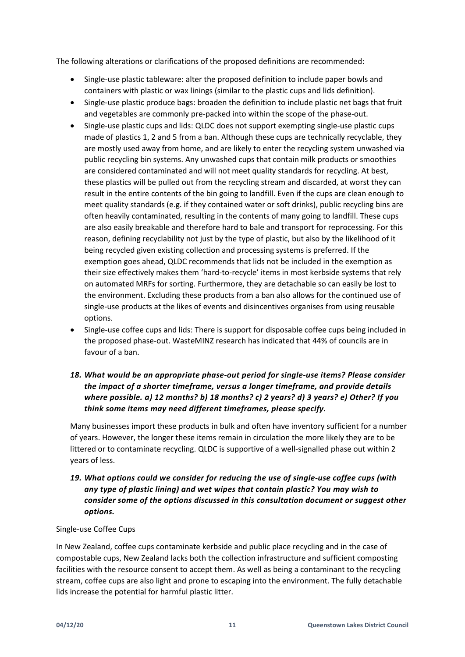The following alterations or clarifications of the proposed definitions are recommended:

- Single-use plastic tableware: alter the proposed definition to include paper bowls and containers with plastic or wax linings (similar to the plastic cups and lids definition).
- Single-use plastic produce bags: broaden the definition to include plastic net bags that fruit and vegetables are commonly pre-packed into within the scope of the phase-out.
- Single-use plastic cups and lids: QLDC does not support exempting single-use plastic cups made of plastics 1, 2 and 5 from a ban. Although these cups are technically recyclable, they are mostly used away from home, and are likely to enter the recycling system unwashed via public recycling bin systems. Any unwashed cups that contain milk products or smoothies are considered contaminated and will not meet quality standards for recycling. At best, these plastics will be pulled out from the recycling stream and discarded, at worst they can result in the entire contents of the bin going to landfill. Even if the cups are clean enough to meet quality standards (e.g. if they contained water or soft drinks), public recycling bins are often heavily contaminated, resulting in the contents of many going to landfill. These cups are also easily breakable and therefore hard to bale and transport for reprocessing. For this reason, defining recyclability not just by the type of plastic, but also by the likelihood of it being recycled given existing collection and processing systems is preferred. If the exemption goes ahead, QLDC recommends that lids not be included in the exemption as their size effectively makes them 'hard-to-recycle' items in most kerbside systems that rely on automated MRFs for sorting. Furthermore, they are detachable so can easily be lost to the environment. Excluding these products from a ban also allows for the continued use of single-use products at the likes of events and disincentives organises from using reusable options.
- Single-use coffee cups and lids: There is support for disposable coffee cups being included in the proposed phase-out. WasteMINZ research has indicated that 44% of councils are in favour of a ban.

## *18. What would be an appropriate phase-out period for single-use items? Please consider the impact of a shorter timeframe, versus a longer timeframe, and provide details where possible. a) 12 months? b) 18 months? c) 2 years? d) 3 years? e) Other? If you think some items may need different timeframes, please specify.*

Many businesses import these products in bulk and often have inventory sufficient for a number of years. However, the longer these items remain in circulation the more likely they are to be littered or to contaminate recycling. QLDC is supportive of a well-signalled phase out within 2 years of less.

### *19. What options could we consider for reducing the use of single-use coffee cups (with any type of plastic lining) and wet wipes that contain plastic? You may wish to consider some of the options discussed in this consultation document or suggest other options.*

#### Single-use Coffee Cups

In New Zealand, coffee cups contaminate kerbside and public place recycling and in the case of compostable cups, New Zealand lacks both the collection infrastructure and sufficient composting facilities with the resource consent to accept them. As well as being a contaminant to the recycling stream, coffee cups are also light and prone to escaping into the environment. The fully detachable lids increase the potential for harmful plastic litter.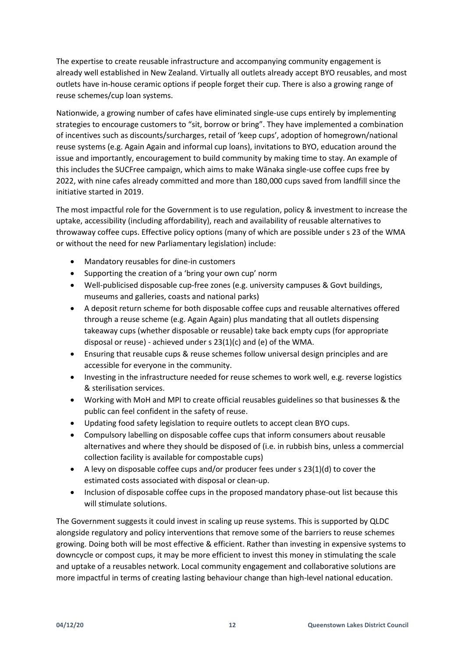The expertise to create reusable infrastructure and accompanying community engagement is already well established in New Zealand. Virtually all outlets already accept BYO reusables, and most outlets have in-house ceramic options if people forget their cup. There is also a growing range of reuse schemes/cup loan systems.

Nationwide, a growing number of cafes have eliminated single-use cups entirely by implementing strategies to encourage customers to "sit, borrow or bring". They have implemented a combination of incentives such as discounts/surcharges, retail of 'keep cups', adoption of homegrown/national reuse systems (e.g. Again Again and informal cup loans), invitations to BYO, education around the issue and importantly, encouragement to build community by making time to stay. An example of this includes the SUCFree campaign, which aims to make Wānaka single-use coffee cups free by 2022, with nine cafes already committed and more than 180,000 cups saved from landfill since the initiative started in 2019.

The most impactful role for the Government is to use regulation, policy & investment to increase the uptake, accessibility (including affordability), reach and availability of reusable alternatives to throwaway coffee cups. Effective policy options (many of which are possible under s 23 of the WMA or without the need for new Parliamentary legislation) include:

- Mandatory reusables for dine-in customers
- Supporting the creation of a 'bring your own cup' norm
- Well-publicised disposable cup-free zones (e.g. university campuses & Govt buildings, museums and galleries, coasts and national parks)
- A deposit return scheme for both disposable coffee cups and reusable alternatives offered through a reuse scheme (e.g. Again Again) plus mandating that all outlets dispensing takeaway cups (whether disposable or reusable) take back empty cups (for appropriate disposal or reuse) - achieved under s 23(1)(c) and (e) of the WMA.
- Ensuring that reusable cups & reuse schemes follow universal design principles and are accessible for everyone in the community.
- Investing in the infrastructure needed for reuse schemes to work well, e.g. reverse logistics & sterilisation services.
- Working with MoH and MPI to create official reusables guidelines so that businesses & the public can feel confident in the safety of reuse.
- Updating food safety legislation to require outlets to accept clean BYO cups.
- Compulsory labelling on disposable coffee cups that inform consumers about reusable alternatives and where they should be disposed of (i.e. in rubbish bins, unless a commercial collection facility is available for compostable cups)
- A levy on disposable coffee cups and/or producer fees under s 23(1)(d) to cover the estimated costs associated with disposal or clean-up.
- Inclusion of disposable coffee cups in the proposed mandatory phase-out list because this will stimulate solutions.

The Government suggests it could invest in scaling up reuse systems. This is supported by QLDC alongside regulatory and policy interventions that remove some of the barriers to reuse schemes growing. Doing both will be most effective & efficient. Rather than investing in expensive systems to downcycle or compost cups, it may be more efficient to invest this money in stimulating the scale and uptake of a reusables network. Local community engagement and collaborative solutions are more impactful in terms of creating lasting behaviour change than high-level national education.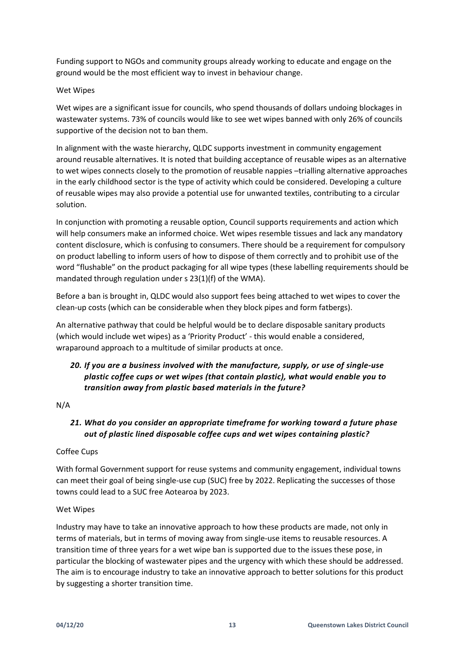Funding support to NGOs and community groups already working to educate and engage on the ground would be the most efficient way to invest in behaviour change.

#### Wet Wipes

Wet wipes are a significant issue for councils, who spend thousands of dollars undoing blockages in wastewater systems. 73% of councils would like to see wet wipes banned with only 26% of councils supportive of the decision not to ban them.

In alignment with the waste hierarchy, QLDC supports investment in community engagement around reusable alternatives. It is noted that building acceptance of reusable wipes as an alternative to wet wipes connects closely to the promotion of reusable nappies –trialling alternative approaches in the early childhood sector is the type of activity which could be considered. Developing a culture of reusable wipes may also provide a potential use for unwanted textiles, contributing to a circular solution.

In conjunction with promoting a reusable option, Council supports requirements and action which will help consumers make an informed choice. Wet wipes resemble tissues and lack any mandatory content disclosure, which is confusing to consumers. There should be a requirement for compulsory on product labelling to inform users of how to dispose of them correctly and to prohibit use of the word "flushable" on the product packaging for all wipe types (these labelling requirements should be mandated through regulation under s 23(1)(f) of the WMA).

Before a ban is brought in, QLDC would also support fees being attached to wet wipes to cover the clean-up costs (which can be considerable when they block pipes and form fatbergs).

An alternative pathway that could be helpful would be to declare disposable sanitary products (which would include wet wipes) as a 'Priority Product' - this would enable a considered, wraparound approach to a multitude of similar products at once.

## *20. If you are a business involved with the manufacture, supply, or use of single-use plastic coffee cups or wet wipes (that contain plastic), what would enable you to transition away from plastic based materials in the future?*

#### N/A

## *21. What do you consider an appropriate timeframe for working toward a future phase out of plastic lined disposable coffee cups and wet wipes containing plastic?*

#### Coffee Cups

With formal Government support for reuse systems and community engagement, individual towns can meet their goal of being single-use cup (SUC) free by 2022. Replicating the successes of those towns could lead to a SUC free Aotearoa by 2023.

#### Wet Wipes

Industry may have to take an innovative approach to how these products are made, not only in terms of materials, but in terms of moving away from single-use items to reusable resources. A transition time of three years for a wet wipe ban is supported due to the issues these pose, in particular the blocking of wastewater pipes and the urgency with which these should be addressed. The aim is to encourage industry to take an innovative approach to better solutions for this product by suggesting a shorter transition time.